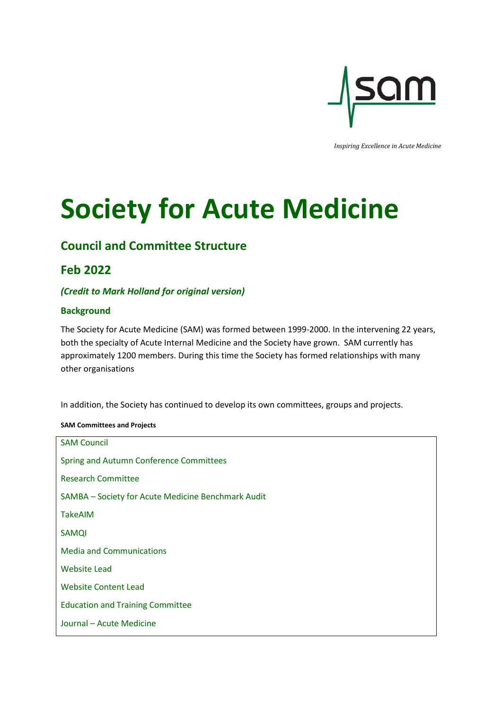

*Inspiring Excellence in Acute Medicine*

# **Society for Acute Medicine**

# **Council and Committee Structure**

# **Feb 2022**

# *(Credit to Mark Holland for original version)*

# **Background**

The Society for Acute Medicine (SAM) was formed between 1999-2000. In the intervening 22 years, both the specialty of Acute Internal Medicine and the Society have grown. SAM currently has approximately 1200 members. During this time the Society has formed relationships with many other organisations

In addition, the Society has continued to develop its own committees, groups and projects.

# **SAM Committees and Projects**

| <b>SAM Council</b>                                 |
|----------------------------------------------------|
| Spring and Autumn Conference Committees            |
| <b>Research Committee</b>                          |
| SAMBA - Society for Acute Medicine Benchmark Audit |
| TakeAIM                                            |
| <b>SAMQI</b>                                       |
| <b>Media and Communications</b>                    |
| <b>Website Lead</b>                                |
| <b>Website Content Lead</b>                        |
| <b>Education and Training Committee</b>            |
| Journal - Acute Medicine                           |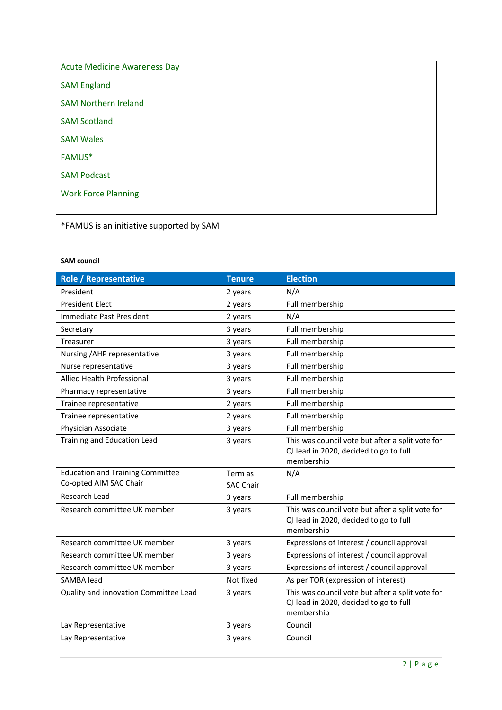| <b>Acute Medicine Awareness Day</b> |
|-------------------------------------|
| <b>SAM England</b>                  |
| <b>SAM Northern Ireland</b>         |
| <b>SAM Scotland</b>                 |
| <b>SAM Wales</b>                    |
| <b>FAMUS*</b>                       |
| <b>SAM Podcast</b>                  |
| <b>Work Force Planning</b>          |
|                                     |

\*FAMUS is an initiative supported by SAM

# **SAM council**

| <b>Role / Representative</b>            | <b>Tenure</b>    | <b>Election</b>                                                                                          |
|-----------------------------------------|------------------|----------------------------------------------------------------------------------------------------------|
| President                               | 2 years          | N/A                                                                                                      |
| <b>President Elect</b>                  | 2 years          | Full membership                                                                                          |
| Immediate Past President                | 2 years          | N/A                                                                                                      |
| Secretary                               | 3 years          | Full membership                                                                                          |
| Treasurer                               | 3 years          | Full membership                                                                                          |
| Nursing / AHP representative            | 3 years          | Full membership                                                                                          |
| Nurse representative                    | 3 years          | Full membership                                                                                          |
| <b>Allied Health Professional</b>       | 3 years          | Full membership                                                                                          |
| Pharmacy representative                 | 3 years          | Full membership                                                                                          |
| Trainee representative                  | 2 years          | Full membership                                                                                          |
| Trainee representative                  | 2 years          | Full membership                                                                                          |
| Physician Associate                     | 3 years          | Full membership                                                                                          |
| Training and Education Lead             | 3 years          | This was council vote but after a split vote for<br>QI lead in 2020, decided to go to full<br>membership |
| <b>Education and Training Committee</b> | Term as          | N/A                                                                                                      |
| Co-opted AIM SAC Chair                  | <b>SAC Chair</b> |                                                                                                          |
| Research Lead                           | 3 years          | Full membership                                                                                          |
| Research committee UK member            | 3 years          | This was council vote but after a split vote for<br>QI lead in 2020, decided to go to full<br>membership |
| Research committee UK member            | 3 years          | Expressions of interest / council approval                                                               |
| Research committee UK member            | 3 years          | Expressions of interest / council approval                                                               |
| Research committee UK member            | 3 years          | Expressions of interest / council approval                                                               |
| SAMBA lead                              | Not fixed        | As per TOR (expression of interest)                                                                      |
| Quality and innovation Committee Lead   | 3 years          | This was council vote but after a split vote for<br>QI lead in 2020, decided to go to full<br>membership |
| Lay Representative                      | 3 years          | Council                                                                                                  |
| Lay Representative                      | 3 years          | Council                                                                                                  |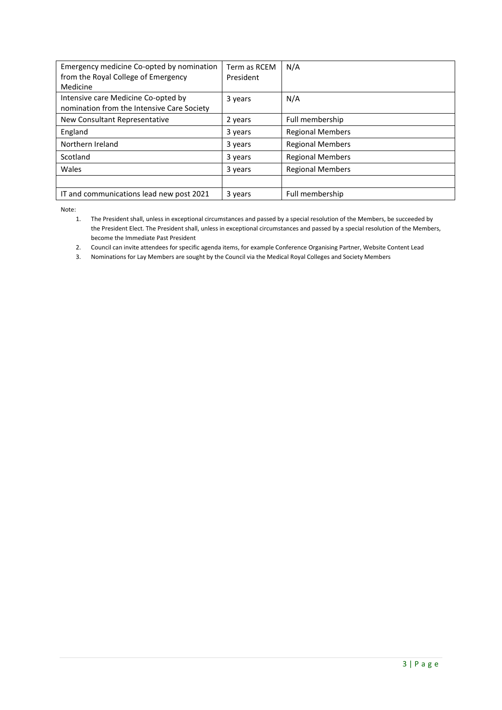| Emergency medicine Co-opted by nomination<br>from the Royal College of Emergency<br>Medicine | Term as RCEM<br>President | N/A                     |
|----------------------------------------------------------------------------------------------|---------------------------|-------------------------|
| Intensive care Medicine Co-opted by<br>nomination from the Intensive Care Society            | 3 years                   | N/A                     |
| New Consultant Representative                                                                | 2 years                   | Full membership         |
| England                                                                                      | 3 years                   | <b>Regional Members</b> |
| Northern Ireland                                                                             | 3 years                   | <b>Regional Members</b> |
| Scotland                                                                                     | 3 years                   | <b>Regional Members</b> |
| Wales                                                                                        | 3 years                   | <b>Regional Members</b> |
|                                                                                              |                           |                         |
| IT and communications lead new post 2021                                                     | 3 years                   | Full membership         |

Note:

- 2. Council can invite attendees for specific agenda items, for example Conference Organising Partner, Website Content Lead
- 3. Nominations for Lay Members are sought by the Council via the Medical Royal Colleges and Society Members

<sup>1.</sup> The President shall, unless in exceptional circumstances and passed by a special resolution of the Members, be succeeded by the President Elect. The President shall, unless in exceptional circumstances and passed by a special resolution of the Members, become the Immediate Past President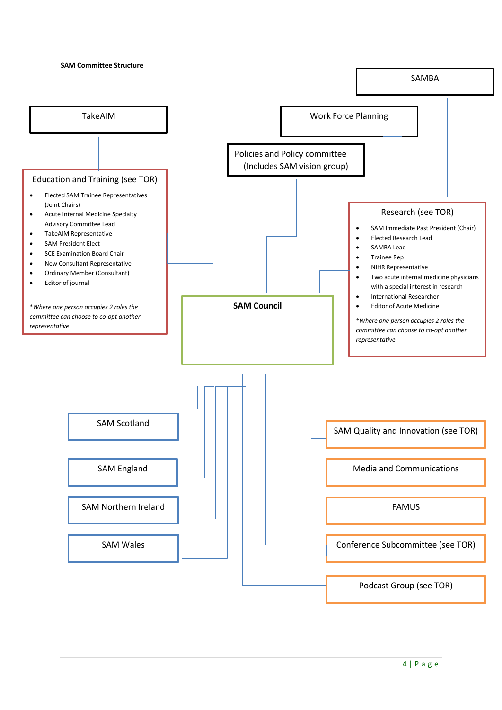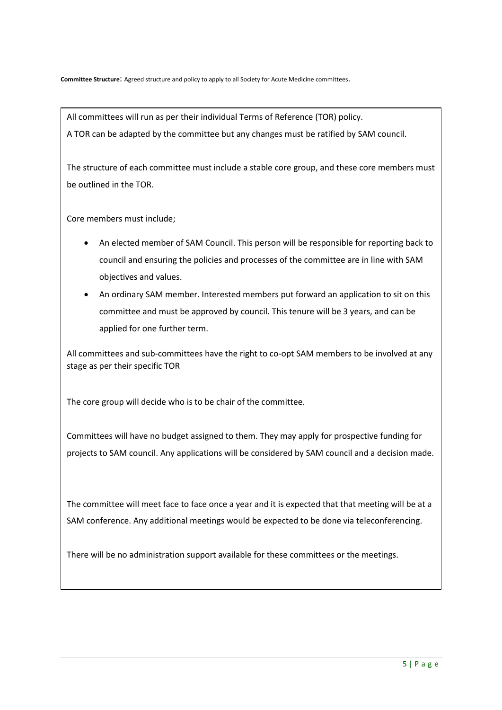All committees will run as per their individual Terms of Reference (TOR) policy. A TOR can be adapted by the committee but any changes must be ratified by SAM council.

The structure of each committee must include a stable core group, and these core members must be outlined in the TOR.

Core members must include;

- An elected member of SAM Council. This person will be responsible for reporting back to council and ensuring the policies and processes of the committee are in line with SAM objectives and values.
- An ordinary SAM member. Interested members put forward an application to sit on this committee and must be approved by council. This tenure will be 3 years, and can be applied for one further term.

All committees and sub-committees have the right to co-opt SAM members to be involved at any stage as per their specific TOR

The core group will decide who is to be chair of the committee.

Committees will have no budget assigned to them. They may apply for prospective funding for projects to SAM council. Any applications will be considered by SAM council and a decision made.

The committee will meet face to face once a year and it is expected that that meeting will be at a SAM conference. Any additional meetings would be expected to be done via teleconferencing.

There will be no administration support available for these committees or the meetings.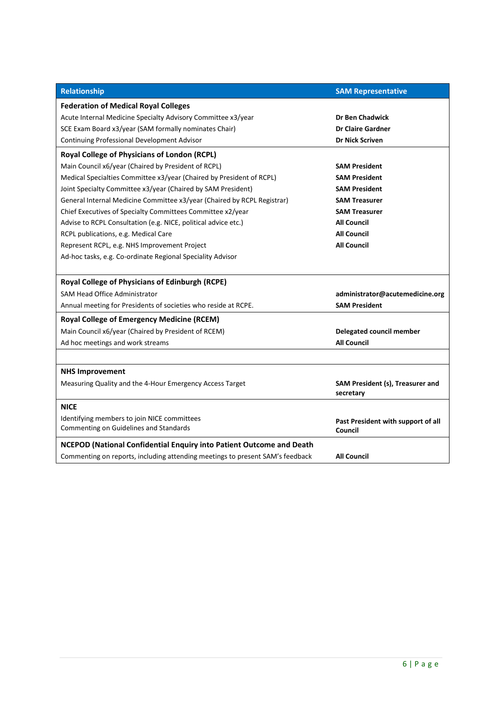| Relationship                                                                  | <b>SAM Representative</b>                     |
|-------------------------------------------------------------------------------|-----------------------------------------------|
| <b>Federation of Medical Royal Colleges</b>                                   |                                               |
| Acute Internal Medicine Specialty Advisory Committee x3/year                  | <b>Dr Ben Chadwick</b>                        |
| SCE Exam Board x3/year (SAM formally nominates Chair)                         | <b>Dr Claire Gardner</b>                      |
| Continuing Professional Development Advisor                                   | <b>Dr Nick Scriven</b>                        |
| <b>Royal College of Physicians of London (RCPL)</b>                           |                                               |
| Main Council x6/year (Chaired by President of RCPL)                           | <b>SAM President</b>                          |
| Medical Specialties Committee x3/year (Chaired by President of RCPL)          | <b>SAM President</b>                          |
| Joint Specialty Committee x3/year (Chaired by SAM President)                  | <b>SAM President</b>                          |
| General Internal Medicine Committee x3/year (Chaired by RCPL Registrar)       | <b>SAM Treasurer</b>                          |
| Chief Executives of Specialty Committees Committee x2/year                    | <b>SAM Treasurer</b>                          |
| Advise to RCPL Consultation (e.g. NICE, political advice etc.)                | <b>All Council</b>                            |
| RCPL publications, e.g. Medical Care                                          | <b>All Council</b>                            |
| Represent RCPL, e.g. NHS Improvement Project                                  | <b>All Council</b>                            |
| Ad-hoc tasks, e.g. Co-ordinate Regional Speciality Advisor                    |                                               |
|                                                                               |                                               |
| <b>Royal College of Physicians of Edinburgh (RCPE)</b>                        |                                               |
| <b>SAM Head Office Administrator</b>                                          | administrator@acutemedicine.org               |
| Annual meeting for Presidents of societies who reside at RCPE.                | <b>SAM President</b>                          |
| <b>Royal College of Emergency Medicine (RCEM)</b>                             |                                               |
| Main Council x6/year (Chaired by President of RCEM)                           | Delegated council member                      |
| Ad hoc meetings and work streams                                              | <b>All Council</b>                            |
|                                                                               |                                               |
| <b>NHS Improvement</b>                                                        |                                               |
| Measuring Quality and the 4-Hour Emergency Access Target                      | SAM President (s), Treasurer and<br>secretary |
| <b>NICE</b>                                                                   |                                               |
| Identifying members to join NICE committees                                   | Past President with support of all            |
| Commenting on Guidelines and Standards                                        | Council                                       |
| <b>NCEPOD (National Confidential Enquiry into Patient Outcome and Death</b>   |                                               |
| Commenting on reports, including attending meetings to present SAM's feedback | <b>All Council</b>                            |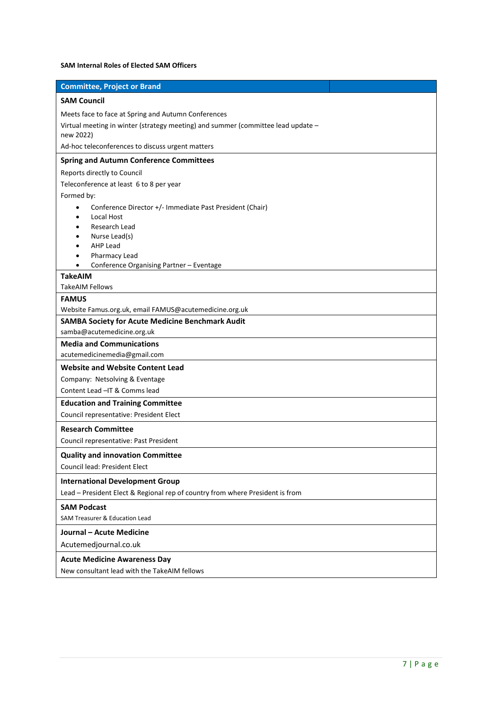# **SAM Internal Roles of Elected SAM Officers**

| <b>SAM Council</b><br>Meets face to face at Spring and Autumn Conferences<br>Virtual meeting in winter (strategy meeting) and summer (committee lead update -<br>new 2022)<br>Ad-hoc teleconferences to discuss urgent matters<br><b>Spring and Autumn Conference Committees</b><br>Reports directly to Council<br>Teleconference at least 6 to 8 per year<br>Formed by:<br>Conference Director +/- Immediate Past President (Chair)<br>$\bullet$<br><b>Local Host</b><br>Research Lead<br>Nurse Lead(s)<br><b>AHP Lead</b><br>Pharmacy Lead<br>Conference Organising Partner - Eventage<br><b>TakeAIM</b><br>TakeAIM Fellows<br><b>FAMUS</b><br>Website Famus.org.uk, email FAMUS@acutemedicine.org.uk<br><b>SAMBA Society for Acute Medicine Benchmark Audit</b><br>samba@acutemedicine.org.uk<br><b>Media and Communications</b><br>acutemedicinemedia@gmail.com<br><b>Website and Website Content Lead</b><br>Company: Netsolving & Eventage<br>Content Lead -IT & Comms lead<br><b>Education and Training Committee</b><br>Council representative: President Elect<br><b>Research Committee</b><br>Council representative: Past President<br><b>Quality and innovation Committee</b><br><b>Council lead: President Elect</b><br><b>International Development Group</b> | <b>Committee, Project or Brand</b> |
|-----------------------------------------------------------------------------------------------------------------------------------------------------------------------------------------------------------------------------------------------------------------------------------------------------------------------------------------------------------------------------------------------------------------------------------------------------------------------------------------------------------------------------------------------------------------------------------------------------------------------------------------------------------------------------------------------------------------------------------------------------------------------------------------------------------------------------------------------------------------------------------------------------------------------------------------------------------------------------------------------------------------------------------------------------------------------------------------------------------------------------------------------------------------------------------------------------------------------------------------------------------------------------|------------------------------------|
|                                                                                                                                                                                                                                                                                                                                                                                                                                                                                                                                                                                                                                                                                                                                                                                                                                                                                                                                                                                                                                                                                                                                                                                                                                                                             |                                    |
|                                                                                                                                                                                                                                                                                                                                                                                                                                                                                                                                                                                                                                                                                                                                                                                                                                                                                                                                                                                                                                                                                                                                                                                                                                                                             |                                    |
|                                                                                                                                                                                                                                                                                                                                                                                                                                                                                                                                                                                                                                                                                                                                                                                                                                                                                                                                                                                                                                                                                                                                                                                                                                                                             |                                    |
|                                                                                                                                                                                                                                                                                                                                                                                                                                                                                                                                                                                                                                                                                                                                                                                                                                                                                                                                                                                                                                                                                                                                                                                                                                                                             |                                    |
|                                                                                                                                                                                                                                                                                                                                                                                                                                                                                                                                                                                                                                                                                                                                                                                                                                                                                                                                                                                                                                                                                                                                                                                                                                                                             |                                    |
|                                                                                                                                                                                                                                                                                                                                                                                                                                                                                                                                                                                                                                                                                                                                                                                                                                                                                                                                                                                                                                                                                                                                                                                                                                                                             |                                    |
|                                                                                                                                                                                                                                                                                                                                                                                                                                                                                                                                                                                                                                                                                                                                                                                                                                                                                                                                                                                                                                                                                                                                                                                                                                                                             |                                    |
|                                                                                                                                                                                                                                                                                                                                                                                                                                                                                                                                                                                                                                                                                                                                                                                                                                                                                                                                                                                                                                                                                                                                                                                                                                                                             |                                    |
|                                                                                                                                                                                                                                                                                                                                                                                                                                                                                                                                                                                                                                                                                                                                                                                                                                                                                                                                                                                                                                                                                                                                                                                                                                                                             |                                    |
|                                                                                                                                                                                                                                                                                                                                                                                                                                                                                                                                                                                                                                                                                                                                                                                                                                                                                                                                                                                                                                                                                                                                                                                                                                                                             |                                    |
|                                                                                                                                                                                                                                                                                                                                                                                                                                                                                                                                                                                                                                                                                                                                                                                                                                                                                                                                                                                                                                                                                                                                                                                                                                                                             |                                    |
|                                                                                                                                                                                                                                                                                                                                                                                                                                                                                                                                                                                                                                                                                                                                                                                                                                                                                                                                                                                                                                                                                                                                                                                                                                                                             |                                    |
|                                                                                                                                                                                                                                                                                                                                                                                                                                                                                                                                                                                                                                                                                                                                                                                                                                                                                                                                                                                                                                                                                                                                                                                                                                                                             |                                    |
|                                                                                                                                                                                                                                                                                                                                                                                                                                                                                                                                                                                                                                                                                                                                                                                                                                                                                                                                                                                                                                                                                                                                                                                                                                                                             |                                    |
|                                                                                                                                                                                                                                                                                                                                                                                                                                                                                                                                                                                                                                                                                                                                                                                                                                                                                                                                                                                                                                                                                                                                                                                                                                                                             |                                    |
|                                                                                                                                                                                                                                                                                                                                                                                                                                                                                                                                                                                                                                                                                                                                                                                                                                                                                                                                                                                                                                                                                                                                                                                                                                                                             |                                    |
|                                                                                                                                                                                                                                                                                                                                                                                                                                                                                                                                                                                                                                                                                                                                                                                                                                                                                                                                                                                                                                                                                                                                                                                                                                                                             |                                    |
|                                                                                                                                                                                                                                                                                                                                                                                                                                                                                                                                                                                                                                                                                                                                                                                                                                                                                                                                                                                                                                                                                                                                                                                                                                                                             |                                    |
|                                                                                                                                                                                                                                                                                                                                                                                                                                                                                                                                                                                                                                                                                                                                                                                                                                                                                                                                                                                                                                                                                                                                                                                                                                                                             |                                    |
|                                                                                                                                                                                                                                                                                                                                                                                                                                                                                                                                                                                                                                                                                                                                                                                                                                                                                                                                                                                                                                                                                                                                                                                                                                                                             |                                    |
|                                                                                                                                                                                                                                                                                                                                                                                                                                                                                                                                                                                                                                                                                                                                                                                                                                                                                                                                                                                                                                                                                                                                                                                                                                                                             |                                    |
|                                                                                                                                                                                                                                                                                                                                                                                                                                                                                                                                                                                                                                                                                                                                                                                                                                                                                                                                                                                                                                                                                                                                                                                                                                                                             |                                    |
|                                                                                                                                                                                                                                                                                                                                                                                                                                                                                                                                                                                                                                                                                                                                                                                                                                                                                                                                                                                                                                                                                                                                                                                                                                                                             |                                    |
|                                                                                                                                                                                                                                                                                                                                                                                                                                                                                                                                                                                                                                                                                                                                                                                                                                                                                                                                                                                                                                                                                                                                                                                                                                                                             |                                    |
|                                                                                                                                                                                                                                                                                                                                                                                                                                                                                                                                                                                                                                                                                                                                                                                                                                                                                                                                                                                                                                                                                                                                                                                                                                                                             |                                    |
|                                                                                                                                                                                                                                                                                                                                                                                                                                                                                                                                                                                                                                                                                                                                                                                                                                                                                                                                                                                                                                                                                                                                                                                                                                                                             |                                    |
|                                                                                                                                                                                                                                                                                                                                                                                                                                                                                                                                                                                                                                                                                                                                                                                                                                                                                                                                                                                                                                                                                                                                                                                                                                                                             |                                    |
|                                                                                                                                                                                                                                                                                                                                                                                                                                                                                                                                                                                                                                                                                                                                                                                                                                                                                                                                                                                                                                                                                                                                                                                                                                                                             |                                    |
|                                                                                                                                                                                                                                                                                                                                                                                                                                                                                                                                                                                                                                                                                                                                                                                                                                                                                                                                                                                                                                                                                                                                                                                                                                                                             |                                    |
|                                                                                                                                                                                                                                                                                                                                                                                                                                                                                                                                                                                                                                                                                                                                                                                                                                                                                                                                                                                                                                                                                                                                                                                                                                                                             |                                    |
|                                                                                                                                                                                                                                                                                                                                                                                                                                                                                                                                                                                                                                                                                                                                                                                                                                                                                                                                                                                                                                                                                                                                                                                                                                                                             |                                    |
|                                                                                                                                                                                                                                                                                                                                                                                                                                                                                                                                                                                                                                                                                                                                                                                                                                                                                                                                                                                                                                                                                                                                                                                                                                                                             |                                    |
|                                                                                                                                                                                                                                                                                                                                                                                                                                                                                                                                                                                                                                                                                                                                                                                                                                                                                                                                                                                                                                                                                                                                                                                                                                                                             |                                    |
| Lead - President Elect & Regional rep of country from where President is from                                                                                                                                                                                                                                                                                                                                                                                                                                                                                                                                                                                                                                                                                                                                                                                                                                                                                                                                                                                                                                                                                                                                                                                               |                                    |
| <b>SAM Podcast</b>                                                                                                                                                                                                                                                                                                                                                                                                                                                                                                                                                                                                                                                                                                                                                                                                                                                                                                                                                                                                                                                                                                                                                                                                                                                          |                                    |
| <b>SAM Treasurer &amp; Education Lead</b>                                                                                                                                                                                                                                                                                                                                                                                                                                                                                                                                                                                                                                                                                                                                                                                                                                                                                                                                                                                                                                                                                                                                                                                                                                   |                                    |
| <b>Journal - Acute Medicine</b>                                                                                                                                                                                                                                                                                                                                                                                                                                                                                                                                                                                                                                                                                                                                                                                                                                                                                                                                                                                                                                                                                                                                                                                                                                             |                                    |
| Acutemedjournal.co.uk                                                                                                                                                                                                                                                                                                                                                                                                                                                                                                                                                                                                                                                                                                                                                                                                                                                                                                                                                                                                                                                                                                                                                                                                                                                       |                                    |
| <b>Acute Medicine Awareness Day</b>                                                                                                                                                                                                                                                                                                                                                                                                                                                                                                                                                                                                                                                                                                                                                                                                                                                                                                                                                                                                                                                                                                                                                                                                                                         |                                    |
| New consultant lead with the TakeAIM fellows                                                                                                                                                                                                                                                                                                                                                                                                                                                                                                                                                                                                                                                                                                                                                                                                                                                                                                                                                                                                                                                                                                                                                                                                                                |                                    |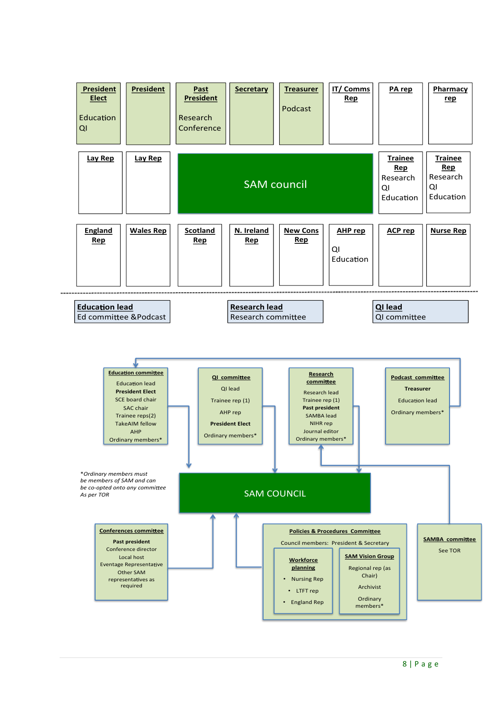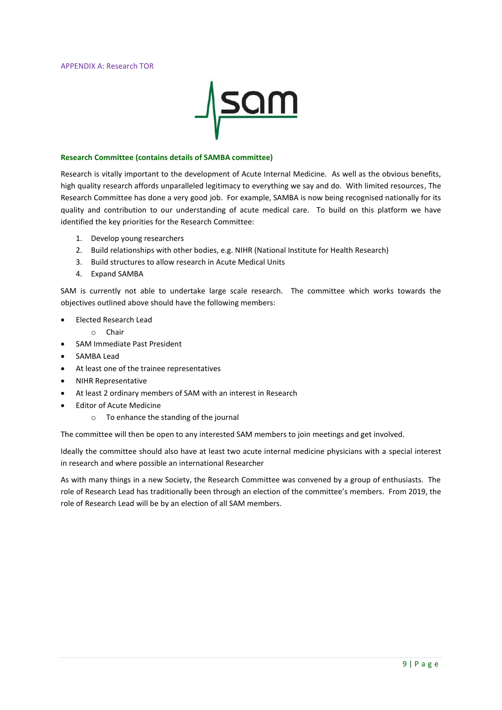

#### **Research Committee (contains details of SAMBA committee)**

Research is vitally important to the development of Acute Internal Medicine. As well as the obvious benefits, high quality research affords unparalleled legitimacy to everything we say and do. With limited resources, The Research Committee has done a very good job. For example, SAMBA is now being recognised nationally for its quality and contribution to our understanding of acute medical care. To build on this platform we have identified the key priorities for the Research Committee:

- 1. Develop young researchers
- 2. Build relationships with other bodies, e.g. NIHR (National Institute for Health Research)
- 3. Build structures to allow research in Acute Medical Units
- 4. Expand SAMBA

SAM is currently not able to undertake large scale research. The committee which works towards the objectives outlined above should have the following members:

- Elected Research Lead
	- o Chair
- SAM Immediate Past President
- SAMBA Lead
- At least one of the trainee representatives
- NIHR Representative
- At least 2 ordinary members of SAM with an interest in Research
- **Editor of Acute Medicine** 
	- o To enhance the standing of the journal

The committee will then be open to any interested SAM members to join meetings and get involved.

Ideally the committee should also have at least two acute internal medicine physicians with a special interest in research and where possible an international Researcher

As with many things in a new Society, the Research Committee was convened by a group of enthusiasts. The role of Research Lead has traditionally been through an election of the committee's members. From 2019, the role of Research Lead will be by an election of all SAM members.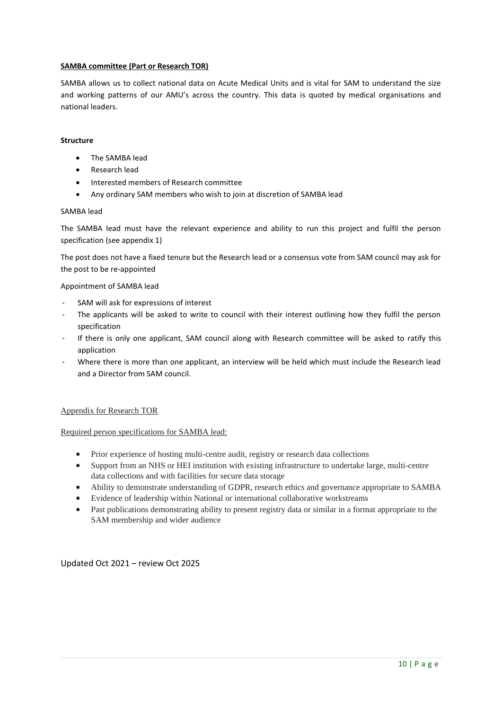# **SAMBA committee (Part or Research TOR)**

SAMBA allows us to collect national data on Acute Medical Units and is vital for SAM to understand the size and working patterns of our AMU's across the country. This data is quoted by medical organisations and national leaders.

# **Structure**

- The SAMBA lead
- Research lead
- Interested members of Research committee
- Any ordinary SAM members who wish to join at discretion of SAMBA lead

# SAMBA lead

The SAMBA lead must have the relevant experience and ability to run this project and fulfil the person specification (see appendix 1)

The post does not have a fixed tenure but the Research lead or a consensus vote from SAM council may ask for the post to be re-appointed

## Appointment of SAMBA lead

- SAM will ask for expressions of interest
- The applicants will be asked to write to council with their interest outlining how they fulfil the person specification
- If there is only one applicant, SAM council along with Research committee will be asked to ratify this application
- Where there is more than one applicant, an interview will be held which must include the Research lead and a Director from SAM council.

# Appendix for Research TOR

# Required person specifications for SAMBA lead:

- Prior experience of hosting multi-centre audit, registry or research data collections
- Support from an NHS or HEI institution with existing infrastructure to undertake large, multi-centre data collections and with facilities for secure data storage
- Ability to demonstrate understanding of GDPR, research ethics and governance appropriate to SAMBA
- Evidence of leadership within National or international collaborative workstreams
- Past publications demonstrating ability to present registry data or similar in a format appropriate to the SAM membership and wider audience

Updated Oct 2021 – review Oct 2025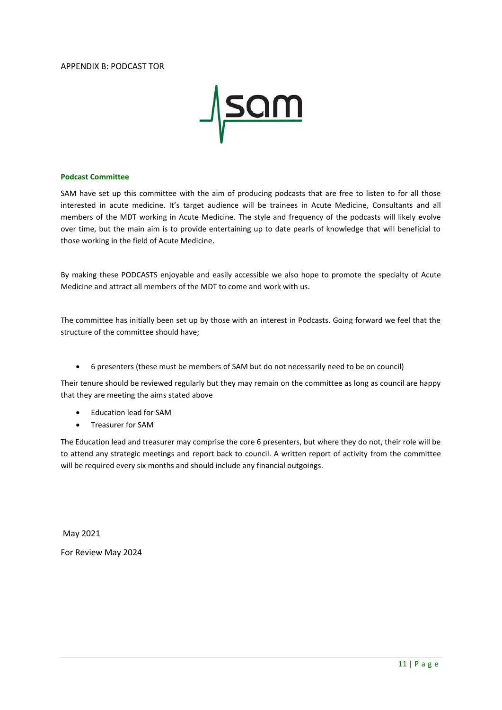## APPENDIX B: PODCAST TOR



#### **Podcast Committee**

SAM have set up this committee with the aim of producing podcasts that are free to listen to for all those interested in acute medicine. It's target audience will be trainees in Acute Medicine, Consultants and all members of the MDT working in Acute Medicine. The style and frequency of the podcasts will likely evolve over time, but the main aim is to provide entertaining up to date pearls of knowledge that will beneficial to those working in the field of Acute Medicine.

By making these PODCASTS enjoyable and easily accessible we also hope to promote the specialty of Acute Medicine and attract all members of the MDT to come and work with us.

The committee has initially been set up by those with an interest in Podcasts. Going forward we feel that the structure of the committee should have;

• 6 presenters (these must be members of SAM but do not necessarily need to be on council)

Their tenure should be reviewed regularly but they may remain on the committee as long as council are happy that they are meeting the aims stated above

- Education lead for SAM
- Treasurer for SAM

The Education lead and treasurer may comprise the core 6 presenters, but where they do not, their role will be to attend any strategic meetings and report back to council. A written report of activity from the committee will be required every six months and should include any financial outgoings.

May 2021 For Review May 2024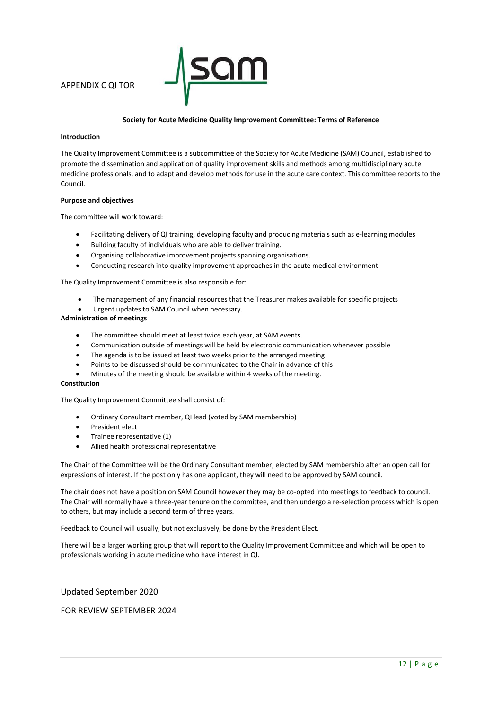

#### **Society for Acute Medicine Quality Improvement Committee: Terms of Reference**

#### **Introduction**

The Quality Improvement Committee is a subcommittee of the Society for Acute Medicine (SAM) Council, established to promote the dissemination and application of quality improvement skills and methods among multidisciplinary acute medicine professionals, and to adapt and develop methods for use in the acute care context. This committee reports to the Council.

#### **Purpose and objectives**

The committee will work toward:

- Facilitating delivery of QI training, developing faculty and producing materials such as e-learning modules
- Building faculty of individuals who are able to deliver training.
- Organising collaborative improvement projects spanning organisations.
- Conducting research into quality improvement approaches in the acute medical environment.

The Quality Improvement Committee is also responsible for:

- The management of any financial resources that the Treasurer makes available for specific projects
- Urgent updates to SAM Council when necessary.

# **Administration of meetings**

- The committee should meet at least twice each year, at SAM events.
- Communication outside of meetings will be held by electronic communication whenever possible
- The agenda is to be issued at least two weeks prior to the arranged meeting
- Points to be discussed should be communicated to the Chair in advance of this
- Minutes of the meeting should be available within 4 weeks of the meeting.

#### **Constitution**

The Quality Improvement Committee shall consist of:

- Ordinary Consultant member, QI lead (voted by SAM membership)
- President elect
- Trainee representative (1)
- Allied health professional representative

The Chair of the Committee will be the Ordinary Consultant member, elected by SAM membership after an open call for expressions of interest. If the post only has one applicant, they will need to be approved by SAM council.

The chair does not have a position on SAM Council however they may be co-opted into meetings to feedback to council. The Chair will normally have a three-year tenure on the committee, and then undergo a re-selection process which is open to others, but may include a second term of three years.

Feedback to Council will usually, but not exclusively, be done by the President Elect.

There will be a larger working group that will report to the Quality Improvement Committee and which will be open to professionals working in acute medicine who have interest in QI.

Updated September 2020

## FOR REVIEW SEPTEMBER 2024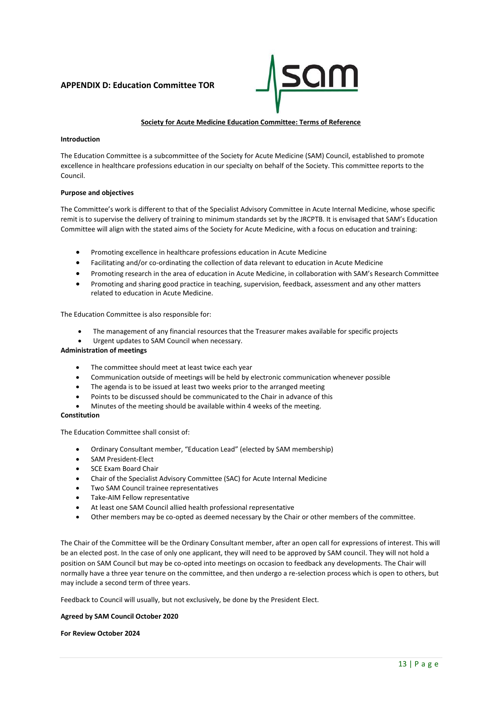# **APPENDIX D: Education Committee TOR**



#### **Society for Acute Medicine Education Committee: Terms of Reference**

#### **Introduction**

The Education Committee is a subcommittee of the Society for Acute Medicine (SAM) Council, established to promote excellence in healthcare professions education in our specialty on behalf of the Society. This committee reports to the Council.

#### **Purpose and objectives**

The Committee's work is different to that of the Specialist Advisory Committee in Acute Internal Medicine, whose specific remit is to supervise the delivery of training to minimum standards set by the JRCPTB. It is envisaged that SAM's Education Committee will align with the stated aims of the Society for Acute Medicine, with a focus on education and training:

- Promoting excellence in healthcare professions education in Acute Medicine
- Facilitating and/or co-ordinating the collection of data relevant to education in Acute Medicine
- Promoting research in the area of education in Acute Medicine, in collaboration with SAM's Research Committee
- Promoting and sharing good practice in teaching, supervision, feedback, assessment and any other matters related to education in Acute Medicine.

The Education Committee is also responsible for:

- The management of any financial resources that the Treasurer makes available for specific projects
- Urgent updates to SAM Council when necessary.

#### **Administration of meetings**

- The committee should meet at least twice each year
- Communication outside of meetings will be held by electronic communication whenever possible
- The agenda is to be issued at least two weeks prior to the arranged meeting
- Points to be discussed should be communicated to the Chair in advance of this
- Minutes of the meeting should be available within 4 weeks of the meeting.

#### **Constitution**

The Education Committee shall consist of:

- Ordinary Consultant member, "Education Lead" (elected by SAM membership)
- SAM President-Elect
- SCE Exam Board Chair
- Chair of the Specialist Advisory Committee (SAC) for Acute Internal Medicine
- Two SAM Council trainee representatives
- Take-AIM Fellow representative
- At least one SAM Council allied health professional representative
- Other members may be co-opted as deemed necessary by the Chair or other members of the committee.

The Chair of the Committee will be the Ordinary Consultant member, after an open call for expressions of interest. This will be an elected post. In the case of only one applicant, they will need to be approved by SAM council. They will not hold a position on SAM Council but may be co-opted into meetings on occasion to feedback any developments. The Chair will normally have a three year tenure on the committee, and then undergo a re-selection process which is open to others, but may include a second term of three years.

Feedback to Council will usually, but not exclusively, be done by the President Elect.

#### **Agreed by SAM Council October 2020**

#### **For Review October 2024**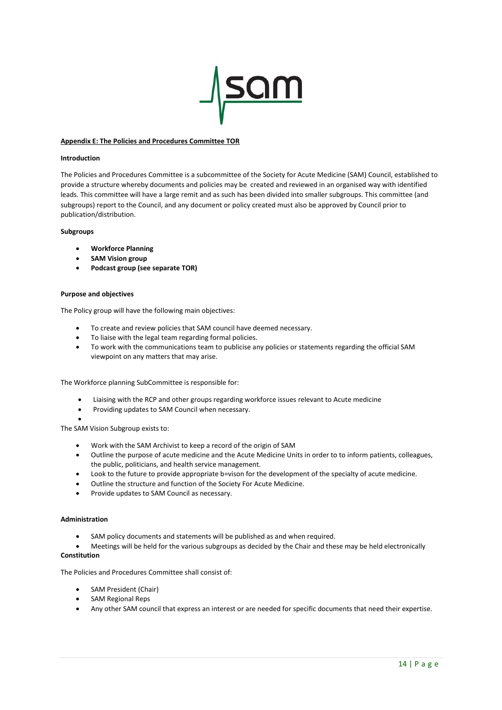

#### **Appendix E: The Policies and Procedures Committee TOR**

#### **Introduction**

The Policies and Procedures Committee is a subcommittee of the Society for Acute Medicine (SAM) Council, established to provide a structure whereby documents and policies may be created and reviewed in an organised way with identified leads. This committee will have a large remit and as such has been divided into smaller subgroups. This committee (and subgroups) report to the Council, and any document or policy created must also be approved by Council prior to publication/distribution.

#### **Subgroups**

- **Workforce Planning**
- **SAM Vision group**
- **Podcast group (see separate TOR)**

#### **Purpose and objectives**

The Policy group will have the following main objectives:

- To create and review policies that SAM council have deemed necessary.
- To liaise with the legal team regarding formal policies.
- To work with the communications team to publicise any policies or statements regarding the official SAM viewpoint on any matters that may arise.

The Workforce planning SubCommittee is responsible for:

- Liaising with the RCP and other groups regarding workforce issues relevant to Acute medicine
- Providing updates to SAM Council when necessary.
- •

The SAM Vision Subgroup exists to:

- Work with the SAM Archivist to keep a record of the origin of SAM
- Outline the purpose of acute medicine and the Acute Medicine Units in order to to inform patients, colleagues, the public, politicians, and health service management.
- Look to the future to provide appropriate b=vison for the development of the specialty of acute medicine.
- Outline the structure and function of the Society For Acute Medicine.
- Provide updates to SAM Council as necessary.

#### **Administration**

- SAM policy documents and statements will be published as and when required.
- Meetings will be held for the various subgroups as decided by the Chair and these may be held electronically

# **Constitution**

The Policies and Procedures Committee shall consist of:

- SAM President (Chair)
- SAM Regional Reps
- Any other SAM council that express an interest or are needed for specific documents that need their expertise.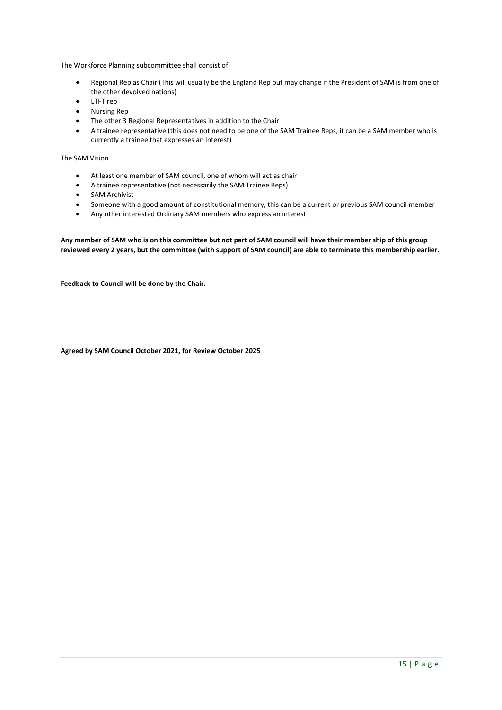The Workforce Planning subcommittee shall consist of

- Regional Rep as Chair (This will usually be the England Rep but may change if the President of SAM is from one of the other devolved nations)
- LTFT rep
- Nursing Rep
- The other 3 Regional Representatives in addition to the Chair
- A trainee representative (this does not need to be one of the SAM Trainee Reps, it can be a SAM member who is currently a trainee that expresses an interest)

The SAM Vision

- At least one member of SAM council, one of whom will act as chair
- A trainee representative (not necessarily the SAM Trainee Reps)
- SAM Archivist
- Someone with a good amount of constitutional memory, this can be a current or previous SAM council member
- Any other interested Ordinary SAM members who express an interest

**Any member of SAM who is on this committee but not part of SAM council will have their member ship of this group reviewed every 2 years, but the committee (with support of SAM council) are able to terminate this membership earlier.** 

**Feedback to Council will be done by the Chair.**

**Agreed by SAM Council October 2021, for Review October 2025**